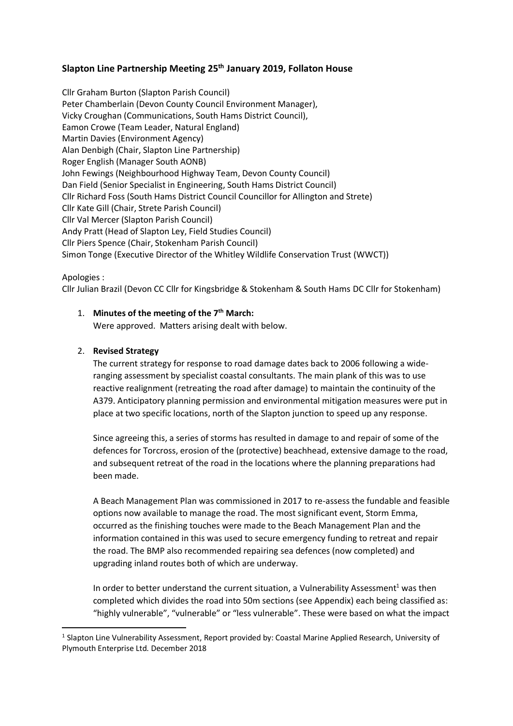# **Slapton Line Partnership Meeting 25th January 2019, Follaton House**

Cllr Graham Burton (Slapton Parish Council) Peter Chamberlain (Devon County Council Environment Manager), Vicky Croughan (Communications, South Hams District Council), Eamon Crowe (Team Leader, Natural England) Martin Davies (Environment Agency) Alan Denbigh (Chair, Slapton Line Partnership) Roger English (Manager South AONB) John Fewings (Neighbourhood Highway Team, Devon County Council) Dan Field (Senior Specialist in Engineering, South Hams District Council) Cllr Richard Foss (South Hams District Council Councillor for Allington and Strete) Cllr Kate Gill (Chair, Strete Parish Council) Cllr Val Mercer (Slapton Parish Council) Andy Pratt (Head of Slapton Ley, Field Studies Council) Cllr Piers Spence (Chair, Stokenham Parish Council) Simon Tonge (Executive Director of the Whitley Wildlife Conservation Trust (WWCT))

## Apologies :

1

Cllr Julian Brazil (Devon CC Cllr for Kingsbridge & Stokenham & South Hams DC Cllr for Stokenham)

## 1. **Minutes of the meeting of the 7th March:**

Were approved. Matters arising dealt with below.

## 2. **Revised Strategy**

The current strategy for response to road damage dates back to 2006 following a wideranging assessment by specialist coastal consultants. The main plank of this was to use reactive realignment (retreating the road after damage) to maintain the continuity of the A379. Anticipatory planning permission and environmental mitigation measures were put in place at two specific locations, north of the Slapton junction to speed up any response.

Since agreeing this, a series of storms has resulted in damage to and repair of some of the defences for Torcross, erosion of the (protective) beachhead, extensive damage to the road, and subsequent retreat of the road in the locations where the planning preparations had been made.

A Beach Management Plan was commissioned in 2017 to re-assess the fundable and feasible options now available to manage the road. The most significant event, Storm Emma, occurred as the finishing touches were made to the Beach Management Plan and the information contained in this was used to secure emergency funding to retreat and repair the road. The BMP also recommended repairing sea defences (now completed) and upgrading inland routes both of which are underway.

In order to better understand the current situation, a Vulnerability Assessment<sup>1</sup> was then completed which divides the road into 50m sections (see Appendix) each being classified as: "highly vulnerable", "vulnerable" or "less vulnerable". These were based on what the impact

<sup>&</sup>lt;sup>1</sup> Slapton Line Vulnerability Assessment, Report provided by: Coastal Marine Applied Research, University of Plymouth Enterprise Ltd. December 2018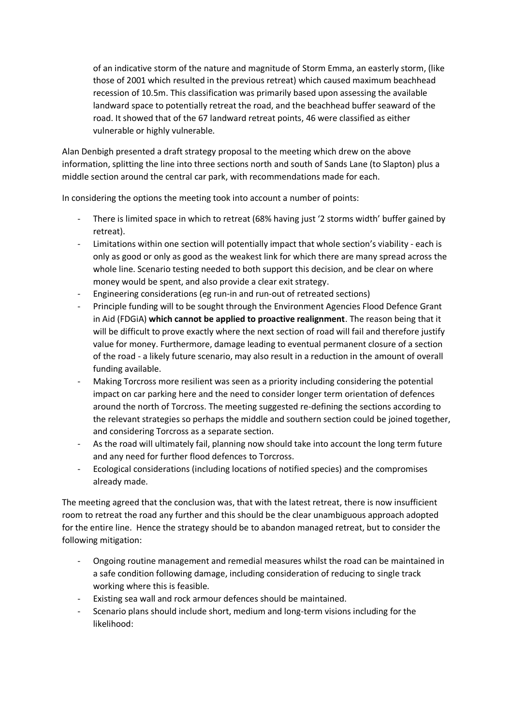of an indicative storm of the nature and magnitude of Storm Emma, an easterly storm, (like those of 2001 which resulted in the previous retreat) which caused maximum beachhead recession of 10.5m. This classification was primarily based upon assessing the available landward space to potentially retreat the road, and the beachhead buffer seaward of the road. It showed that of the 67 landward retreat points, 46 were classified as either vulnerable or highly vulnerable.

Alan Denbigh presented a draft strategy proposal to the meeting which drew on the above information, splitting the line into three sections north and south of Sands Lane (to Slapton) plus a middle section around the central car park, with recommendations made for each.

In considering the options the meeting took into account a number of points:

- There is limited space in which to retreat (68% having just '2 storms width' buffer gained by retreat).
- Limitations within one section will potentially impact that whole section's viability each is only as good or only as good as the weakest link for which there are many spread across the whole line. Scenario testing needed to both support this decision, and be clear on where money would be spent, and also provide a clear exit strategy.
- Engineering considerations (eg run-in and run-out of retreated sections)
- Principle funding will to be sought through the Environment Agencies Flood Defence Grant in Aid (FDGiA) **which cannot be applied to proactive realignment**. The reason being that it will be difficult to prove exactly where the next section of road will fail and therefore justify value for money. Furthermore, damage leading to eventual permanent closure of a section of the road - a likely future scenario, may also result in a reduction in the amount of overall funding available.
- Making Torcross more resilient was seen as a priority including considering the potential impact on car parking here and the need to consider longer term orientation of defences around the north of Torcross. The meeting suggested re-defining the sections according to the relevant strategies so perhaps the middle and southern section could be joined together, and considering Torcross as a separate section.
- As the road will ultimately fail, planning now should take into account the long term future and any need for further flood defences to Torcross.
- Ecological considerations (including locations of notified species) and the compromises already made.

The meeting agreed that the conclusion was, that with the latest retreat, there is now insufficient room to retreat the road any further and this should be the clear unambiguous approach adopted for the entire line. Hence the strategy should be to abandon managed retreat, but to consider the following mitigation:

- Ongoing routine management and remedial measures whilst the road can be maintained in a safe condition following damage, including consideration of reducing to single track working where this is feasible.
- Existing sea wall and rock armour defences should be maintained.
- Scenario plans should include short, medium and long-term visions including for the likelihood: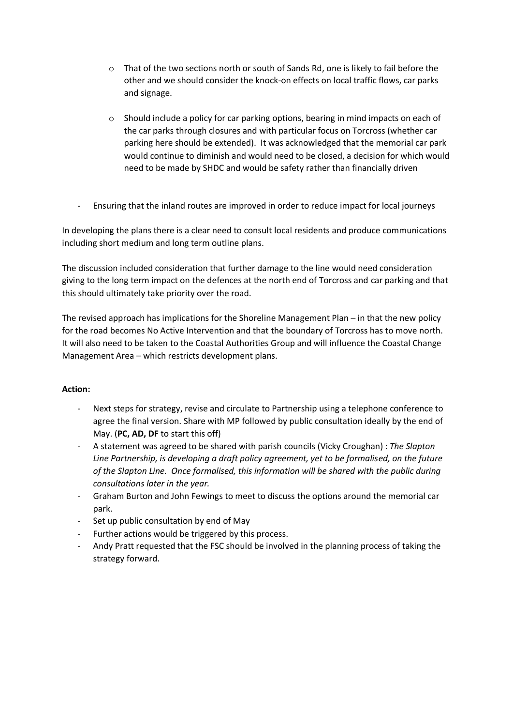- o That of the two sections north or south of Sands Rd, one is likely to fail before the other and we should consider the knock-on effects on local traffic flows, car parks and signage.
- $\circ$  Should include a policy for car parking options, bearing in mind impacts on each of the car parks through closures and with particular focus on Torcross (whether car parking here should be extended). It was acknowledged that the memorial car park would continue to diminish and would need to be closed, a decision for which would need to be made by SHDC and would be safety rather than financially driven
- Ensuring that the inland routes are improved in order to reduce impact for local journeys

In developing the plans there is a clear need to consult local residents and produce communications including short medium and long term outline plans.

The discussion included consideration that further damage to the line would need consideration giving to the long term impact on the defences at the north end of Torcross and car parking and that this should ultimately take priority over the road.

The revised approach has implications for the Shoreline Management Plan – in that the new policy for the road becomes No Active Intervention and that the boundary of Torcross has to move north. It will also need to be taken to the Coastal Authorities Group and will influence the Coastal Change Management Area – which restricts development plans.

## **Action:**

- Next steps for strategy, revise and circulate to Partnership using a telephone conference to agree the final version. Share with MP followed by public consultation ideally by the end of May. (**PC, AD, DF** to start this off)
- A statement was agreed to be shared with parish councils (Vicky Croughan) : *The Slapton Line Partnership, is developing a draft policy agreement, yet to be formalised, on the future of the Slapton Line. Once formalised, this information will be shared with the public during consultations later in the year.*
- Graham Burton and John Fewings to meet to discuss the options around the memorial car park.
- Set up public consultation by end of May
- Further actions would be triggered by this process.
- Andy Pratt requested that the FSC should be involved in the planning process of taking the strategy forward.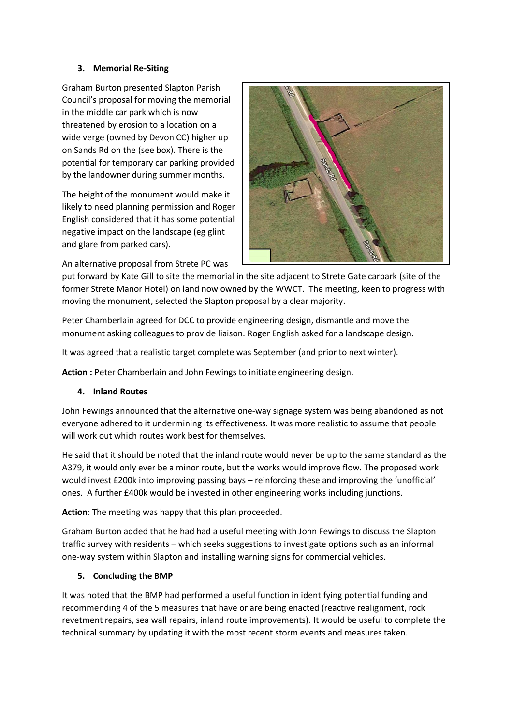## **3. Memorial Re-Siting**

Graham Burton presented Slapton Parish Council's proposal for moving the memorial in the middle car park which is now threatened by erosion to a location on a wide verge (owned by Devon CC) higher up on Sands Rd on the (see box). There is the potential for temporary car parking provided by the landowner during summer months.

The height of the monument would make it likely to need planning permission and Roger English considered that it has some potential negative impact on the landscape (eg glint and glare from parked cars).



An alternative proposal from Strete PC was

put forward by Kate Gill to site the memorial in the site adjacent to Strete Gate carpark (site of the former Strete Manor Hotel) on land now owned by the WWCT. The meeting, keen to progress with moving the monument, selected the Slapton proposal by a clear majority.

Peter Chamberlain agreed for DCC to provide engineering design, dismantle and move the monument asking colleagues to provide liaison. Roger English asked for a landscape design.

It was agreed that a realistic target complete was September (and prior to next winter).

Action : Peter Chamberlain and John Fewings to initiate engineering design.

## **4. Inland Routes**

John Fewings announced that the alternative one-way signage system was being abandoned as not everyone adhered to it undermining its effectiveness. It was more realistic to assume that people will work out which routes work best for themselves.

He said that it should be noted that the inland route would never be up to the same standard as the A379, it would only ever be a minor route, but the works would improve flow. The proposed work would invest £200k into improving passing bays – reinforcing these and improving the 'unofficial' ones. A further £400k would be invested in other engineering works including junctions.

**Action**: The meeting was happy that this plan proceeded.

Graham Burton added that he had had a useful meeting with John Fewings to discuss the Slapton traffic survey with residents – which seeks suggestions to investigate options such as an informal one-way system within Slapton and installing warning signs for commercial vehicles.

# **5. Concluding the BMP**

It was noted that the BMP had performed a useful function in identifying potential funding and recommending 4 of the 5 measures that have or are being enacted (reactive realignment, rock revetment repairs, sea wall repairs, inland route improvements). It would be useful to complete the technical summary by updating it with the most recent storm events and measures taken.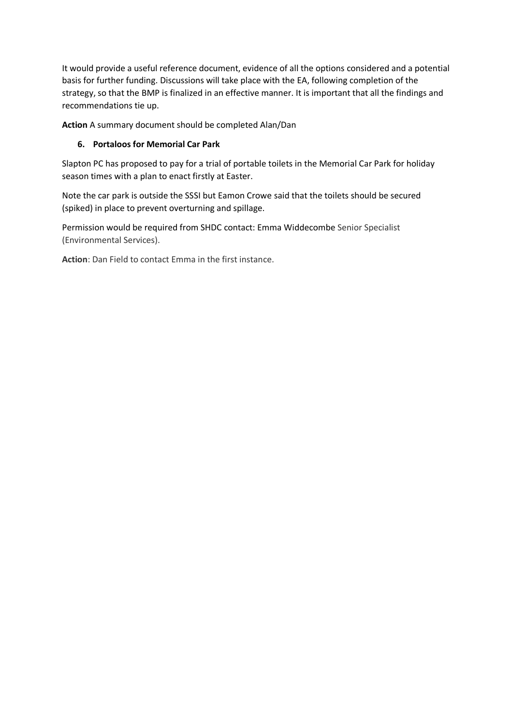It would provide a useful reference document, evidence of all the options considered and a potential basis for further funding. Discussions will take place with the EA, following completion of the strategy, so that the BMP is finalized in an effective manner. It is important that all the findings and recommendations tie up.

**Action** A summary document should be completed Alan/Dan

# **6. Portaloos for Memorial Car Park**

Slapton PC has proposed to pay for a trial of portable toilets in the Memorial Car Park for holiday season times with a plan to enact firstly at Easter.

Note the car park is outside the SSSI but Eamon Crowe said that the toilets should be secured (spiked) in place to prevent overturning and spillage.

Permission would be required from SHDC contact: Emma Widdecombe Senior Specialist (Environmental Services).

**Action**: Dan Field to contact Emma in the first instance.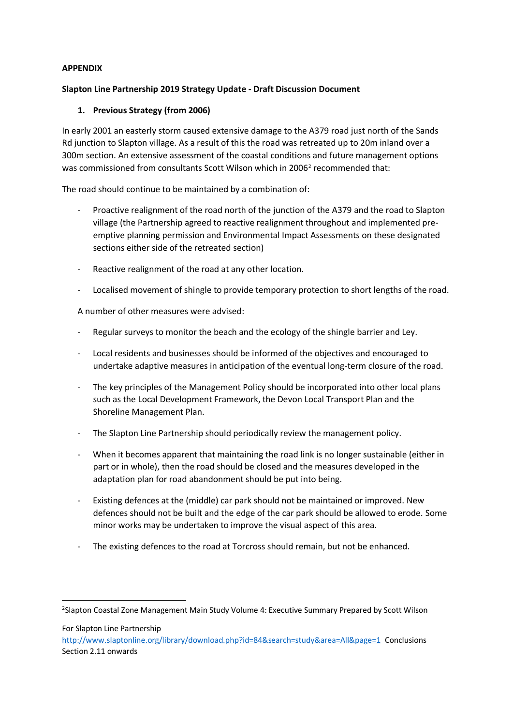## **APPENDIX**

## **Slapton Line Partnership 2019 Strategy Update - Draft Discussion Document**

## **1. Previous Strategy (from 2006)**

In early 2001 an easterly storm caused extensive damage to the A379 road just north of the Sands Rd junction to Slapton village. As a result of this the road was retreated up to 20m inland over a 300m section. An extensive assessment of the coastal conditions and future management options was commissioned from consultants Scott Wilson which in 2006<sup>2</sup> recommended that:

The road should continue to be maintained by a combination of:

- Proactive realignment of the road north of the junction of the A379 and the road to Slapton village (the Partnership agreed to reactive realignment throughout and implemented preemptive planning permission and Environmental Impact Assessments on these designated sections either side of the retreated section)
- Reactive realignment of the road at any other location.
- Localised movement of shingle to provide temporary protection to short lengths of the road.

A number of other measures were advised:

- Regular surveys to monitor the beach and the ecology of the shingle barrier and Ley.
- Local residents and businesses should be informed of the objectives and encouraged to undertake adaptive measures in anticipation of the eventual long-term closure of the road.
- The key principles of the Management Policy should be incorporated into other local plans such as the Local Development Framework, the Devon Local Transport Plan and the Shoreline Management Plan.
- The Slapton Line Partnership should periodically review the management policy.
- When it becomes apparent that maintaining the road link is no longer sustainable (either in part or in whole), then the road should be closed and the measures developed in the adaptation plan for road abandonment should be put into being.
- Existing defences at the (middle) car park should not be maintained or improved. New defences should not be built and the edge of the car park should be allowed to erode. Some minor works may be undertaken to improve the visual aspect of this area.
- The existing defences to the road at Torcross should remain, but not be enhanced.

For Slapton Line Partnership

1

<http://www.slaptonline.org/library/download.php?id=84&search=study&area=All&page=1>Conclusions Section 2.11 onwards

<sup>&</sup>lt;sup>2</sup>Slapton Coastal Zone Management Main Study Volume 4: Executive Summary Prepared by Scott Wilson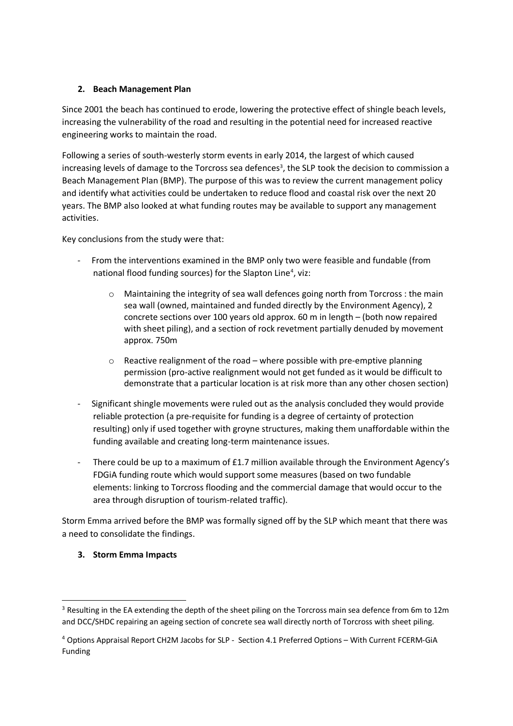## **2. Beach Management Plan**

Since 2001 the beach has continued to erode, lowering the protective effect of shingle beach levels, increasing the vulnerability of the road and resulting in the potential need for increased reactive engineering works to maintain the road.

Following a series of south-westerly storm events in early 2014, the largest of which caused increasing levels of damage to the Torcross sea defences<sup>3</sup>, the SLP took the decision to commission a Beach Management Plan (BMP). The purpose of this was to review the current management policy and identify what activities could be undertaken to reduce flood and coastal risk over the next 20 years. The BMP also looked at what funding routes may be available to support any management activities.

Key conclusions from the study were that:

- From the interventions examined in the BMP only two were feasible and fundable (from national flood funding sources) for the Slapton Line<sup>4</sup>, viz:
	- o Maintaining the integrity of sea wall defences going north from Torcross : the main sea wall (owned, maintained and funded directly by the Environment Agency), 2 concrete sections over 100 years old approx. 60 m in length – (both now repaired with sheet piling), and a section of rock revetment partially denuded by movement approx. 750m
	- $\circ$  Reactive realignment of the road where possible with pre-emptive planning permission (pro-active realignment would not get funded as it would be difficult to demonstrate that a particular location is at risk more than any other chosen section)
- Significant shingle movements were ruled out as the analysis concluded they would provide reliable protection (a pre-requisite for funding is a degree of certainty of protection resulting) only if used together with groyne structures, making them unaffordable within the funding available and creating long-term maintenance issues.
- There could be up to a maximum of £1.7 million available through the Environment Agency's FDGiA funding route which would support some measures (based on two fundable elements: linking to Torcross flooding and the commercial damage that would occur to the area through disruption of tourism-related traffic).

Storm Emma arrived before the BMP was formally signed off by the SLP which meant that there was a need to consolidate the findings.

## **3. Storm Emma Impacts**

1

<sup>&</sup>lt;sup>3</sup> Resulting in the EA extending the depth of the sheet piling on the Torcross main sea defence from 6m to 12m and DCC/SHDC repairing an ageing section of concrete sea wall directly north of Torcross with sheet piling.

<sup>4</sup> Options Appraisal Report CH2M Jacobs for SLP - Section 4.1 Preferred Options – With Current FCERM‐GiA Funding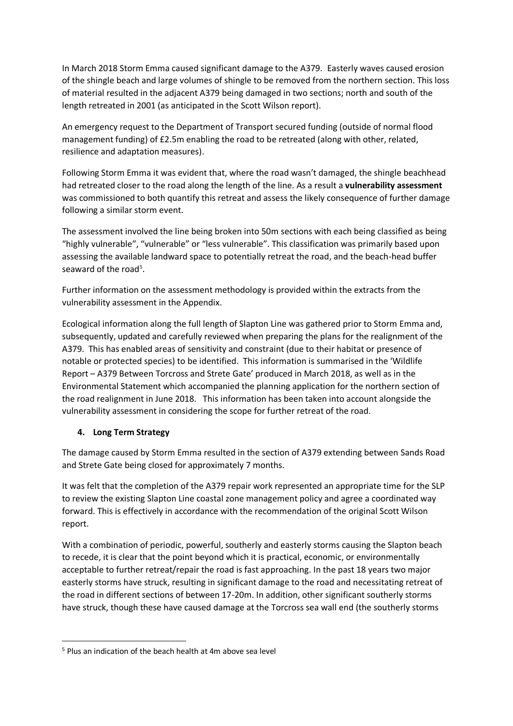In March 2018 Storm Emma caused significant damage to the A379. Easterly waves caused erosion of the shingle beach and large volumes of shingle to be removed from the northern section. This loss of material resulted in the adjacent A379 being damaged in two sections; north and south of the length retreated in 2001 (as anticipated in the Scott Wilson report).

An emergency request to the Department of Transport secured funding (outside of normal flood management funding) of £2.5m enabling the road to be retreated (along with other, related, resilience and adaptation measures).

Following Storm Emma it was evident that, where the road wasn't damaged, the shingle beachhead had retreated closer to the road along the length of the line. As a result a **vulnerability assessment** was commissioned to both quantify this retreat and assess the likely consequence of further damage following a similar storm event.

The assessment involved the line being broken into 50m sections with each being classified as being "highly vulnerable", "vulnerable" or "less vulnerable". This classification was primarily based upon assessing the available landward space to potentially retreat the road, and the beach-head buffer seaward of the road<sup>5</sup>.

Further information on the assessment methodology is provided within the extracts from the vulnerability assessment in the Appendix.

Ecological information along the full length of Slapton Line was gathered prior to Storm Emma and, subsequently, updated and carefully reviewed when preparing the plans for the realignment of the A379. This has enabled areas of sensitivity and constraint (due to their habitat or presence of notable or protected species) to be identified. This information is summarised in the 'Wildlife Report – A379 Between Torcross and Strete Gate' produced in March 2018, as well as in the Environmental Statement which accompanied the planning application for the northern section of the road realignment in June 2018. This information has been taken into account alongside the vulnerability assessment in considering the scope for further retreat of the road.

## **4. Long Term Strategy**

**.** 

The damage caused by Storm Emma resulted in the section of A379 extending between Sands Road and Strete Gate being closed for approximately 7 months.

It was felt that the completion of the A379 repair work represented an appropriate time for the SLP to review the existing Slapton Line coastal zone management policy and agree a coordinated way forward. This is effectively in accordance with the recommendation of the original Scott Wilson report.

With a combination of periodic, powerful, southerly and easterly storms causing the Slapton beach to recede, it is clear that the point beyond which it is practical, economic, or environmentally acceptable to further retreat/repair the road is fast approaching. In the past 18 years two major easterly storms have struck, resulting in significant damage to the road and necessitating retreat of the road in different sections of between 17-20m. In addition, other significant southerly storms have struck, though these have caused damage at the Torcross sea wall end (the southerly storms

 $5$  Plus an indication of the beach health at 4m above sea level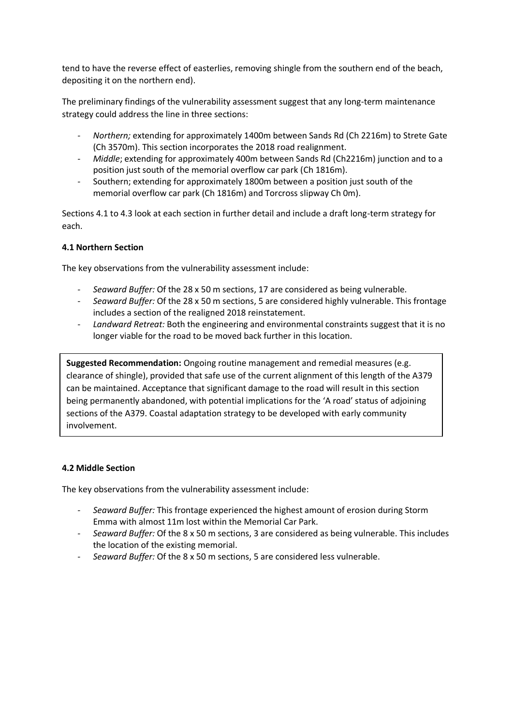tend to have the reverse effect of easterlies, removing shingle from the southern end of the beach, depositing it on the northern end).

The preliminary findings of the vulnerability assessment suggest that any long-term maintenance strategy could address the line in three sections:

- *- Northern;* extending for approximately 1400m between Sands Rd (Ch 2216m) to Strete Gate (Ch 3570m). This section incorporates the 2018 road realignment.
- *- Middle*; extending for approximately 400m between Sands Rd (Ch2216m) junction and to a position just south of the memorial overflow car park (Ch 1816m).
- *-* Southern; extending for approximately 1800m between a position just south of the memorial overflow car park (Ch 1816m) and Torcross slipway Ch 0m).

Sections 4.1 to 4.3 look at each section in further detail and include a draft long-term strategy for each.

## **4.1 Northern Section**

The key observations from the vulnerability assessment include:

- *- Seaward Buffer:* Of the 28 x 50 m sections, 17 are considered as being vulnerable.
- *- Seaward Buffer:* Of the 28 x 50 m sections, 5 are considered highly vulnerable. This frontage includes a section of the realigned 2018 reinstatement.
- *- Landward Retreat:* Both the engineering and environmental constraints suggest that it is no longer viable for the road to be moved back further in this location.

**Suggested Recommendation:** Ongoing routine management and remedial measures (e.g. clearance of shingle), provided that safe use of the current alignment of this length of the A379 can be maintained. Acceptance that significant damage to the road will result in this section being permanently abandoned, with potential implications for the 'A road' status of adjoining sections of the A379. Coastal adaptation strategy to be developed with early community involvement.

#### **4.2 Middle Section**

The key observations from the vulnerability assessment include:

- *- Seaward Buffer:* This frontage experienced the highest amount of erosion during Storm Emma with almost 11m lost within the Memorial Car Park.
- *- Seaward Buffer:* Of the 8 x 50 m sections, 3 are considered as being vulnerable. This includes the location of the existing memorial.
- *- Seaward Buffer:* Of the 8 x 50 m sections, 5 are considered less vulnerable.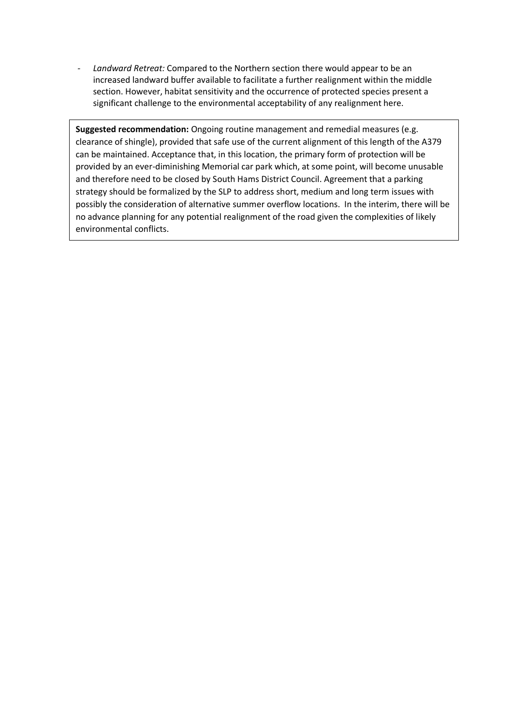*- Landward Retreat:* Compared to the Northern section there would appear to be an increased landward buffer available to facilitate a further realignment within the middle section. However, habitat sensitivity and the occurrence of protected species present a significant challenge to the environmental acceptability of any realignment here.

**Suggested recommendation:** Ongoing routine management and remedial measures (e.g. clearance of shingle), provided that safe use of the current alignment of this length of the A379 can be maintained. Acceptance that, in this location, the primary form of protection will be provided by an ever-diminishing Memorial car park which, at some point, will become unusable and therefore need to be closed by South Hams District Council. Agreement that a parking strategy should be formalized by the SLP to address short, medium and long term issues with possibly the consideration of alternative summer overflow locations. In the interim, there will be no advance planning for any potential realignment of the road given the complexities of likely environmental conflicts.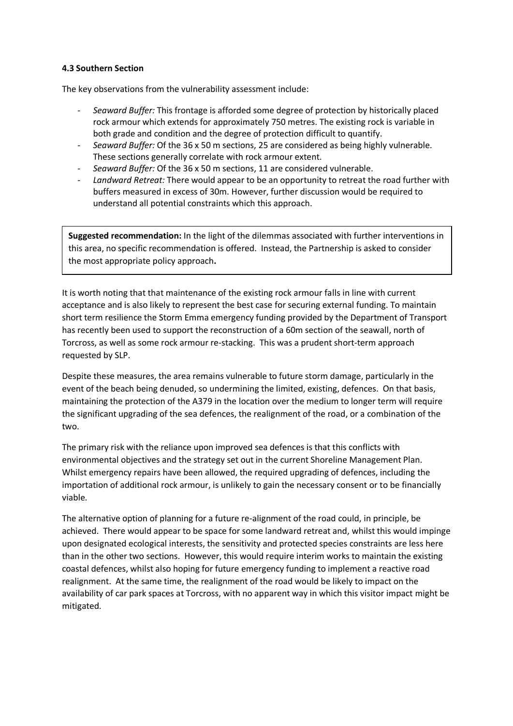## **4.3 Southern Section**

The key observations from the vulnerability assessment include:

- *Seaward Buffer:* This frontage is afforded some degree of protection by historically placed rock armour which extends for approximately 750 metres. The existing rock is variable in both grade and condition and the degree of protection difficult to quantify.
- *Seaward Buffer:* Of the 36 x 50 m sections, 25 are considered as being highly vulnerable. These sections generally correlate with rock armour extent.
- *Seaward Buffer:* Of the 36 x 50 m sections, 11 are considered vulnerable.
- *Landward Retreat:* There would appear to be an opportunity to retreat the road further with buffers measured in excess of 30m. However, further discussion would be required to understand all potential constraints which this approach.

**Suggested recommendation:** In the light of the dilemmas associated with further interventions in this area, no specific recommendation is offered. Instead, the Partnership is asked to consider the most appropriate policy approach**.** 

It is worth noting that that maintenance of the existing rock armour falls in line with current acceptance and is also likely to represent the best case for securing external funding. To maintain short term resilience the Storm Emma emergency funding provided by the Department of Transport has recently been used to support the reconstruction of a 60m section of the seawall, north of Torcross, as well as some rock armour re-stacking. This was a prudent short-term approach requested by SLP.

Despite these measures, the area remains vulnerable to future storm damage, particularly in the event of the beach being denuded, so undermining the limited, existing, defences. On that basis, maintaining the protection of the A379 in the location over the medium to longer term will require the significant upgrading of the sea defences, the realignment of the road, or a combination of the two.

The primary risk with the reliance upon improved sea defences is that this conflicts with environmental objectives and the strategy set out in the current Shoreline Management Plan. Whilst emergency repairs have been allowed, the required upgrading of defences, including the importation of additional rock armour, is unlikely to gain the necessary consent or to be financially viable.

The alternative option of planning for a future re-alignment of the road could, in principle, be achieved. There would appear to be space for some landward retreat and, whilst this would impinge upon designated ecological interests, the sensitivity and protected species constraints are less here than in the other two sections. However, this would require interim works to maintain the existing coastal defences, whilst also hoping for future emergency funding to implement a reactive road realignment. At the same time, the realignment of the road would be likely to impact on the availability of car park spaces at Torcross, with no apparent way in which this visitor impact might be mitigated.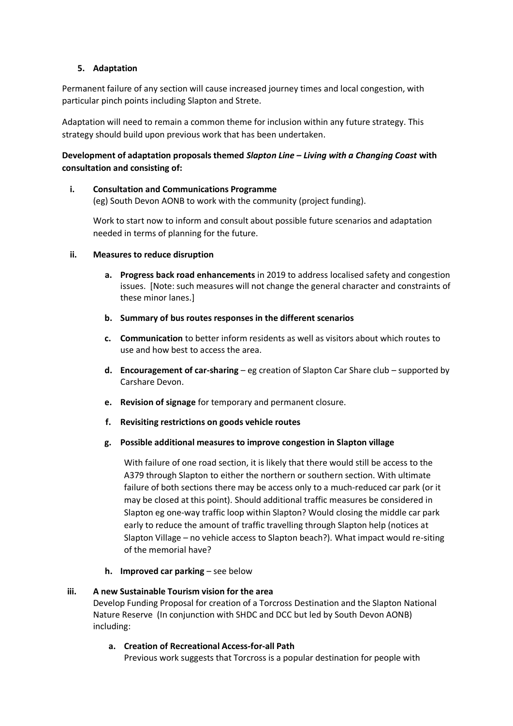## **5. Adaptation**

Permanent failure of any section will cause increased journey times and local congestion, with particular pinch points including Slapton and Strete.

Adaptation will need to remain a common theme for inclusion within any future strategy. This strategy should build upon previous work that has been undertaken.

## **Development of adaptation proposals themed** *Slapton Line – Living with a Changing Coast* **with consultation and consisting of:**

#### **i. Consultation and Communications Programme**

(eg) South Devon AONB to work with the community (project funding).

Work to start now to inform and consult about possible future scenarios and adaptation needed in terms of planning for the future.

## **ii. Measures to reduce disruption**

- **a. Progress back road enhancements** in 2019 to address localised safety and congestion issues. [Note: such measures will not change the general character and constraints of these minor lanes.]
- **b. Summary of bus routes responses in the different scenarios**
- **c. Communication** to better inform residents as well as visitors about which routes to use and how best to access the area.
- **d. Encouragement of car-sharing** eg creation of Slapton Car Share club supported by Carshare Devon.
- **e. Revision of signage** for temporary and permanent closure.
- **f. Revisiting restrictions on goods vehicle routes**
- **g. Possible additional measures to improve congestion in Slapton village**

With failure of one road section, it is likely that there would still be access to the A379 through Slapton to either the northern or southern section. With ultimate failure of both sections there may be access only to a much-reduced car park (or it may be closed at this point). Should additional traffic measures be considered in Slapton eg one-way traffic loop within Slapton? Would closing the middle car park early to reduce the amount of traffic travelling through Slapton help (notices at Slapton Village – no vehicle access to Slapton beach?). What impact would re-siting of the memorial have?

**h. Improved car parking** – see below

#### **iii. A new Sustainable Tourism vision for the area**

Develop Funding Proposal for creation of a Torcross Destination and the Slapton National Nature Reserve(In conjunction with SHDC and DCC but led by South Devon AONB) including:

## **a. Creation of Recreational Access-for-all Path**

Previous work suggests that Torcross is a popular destination for people with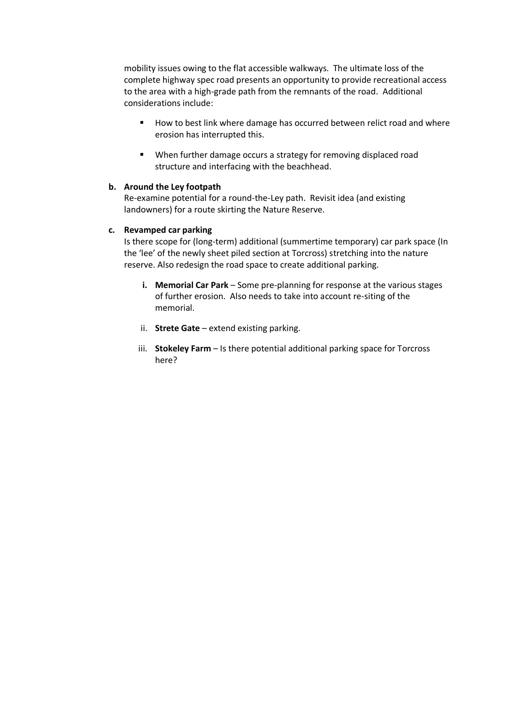mobility issues owing to the flat accessible walkways. The ultimate loss of the complete highway spec road presents an opportunity to provide recreational access to the area with a high-grade path from the remnants of the road. Additional considerations include:

- How to best link where damage has occurred between relict road and where erosion has interrupted this.
- When further damage occurs a strategy for removing displaced road structure and interfacing with the beachhead.

#### **b. Around the Ley footpath**

Re-examine potential for a round-the-Ley path. Revisit idea (and existing landowners) for a route skirting the Nature Reserve.

#### **c. Revamped car parking**

Is there scope for (long-term) additional (summertime temporary) car park space (In the 'lee' of the newly sheet piled section at Torcross) stretching into the nature reserve. Also redesign the road space to create additional parking.

- **i. Memorial Car Park** Some pre-planning for response at the various stages of further erosion. Also needs to take into account re-siting of the memorial.
- ii. **Strete Gate** extend existing parking.
- iii. **Stokeley Farm**  Is there potential additional parking space for Torcross here?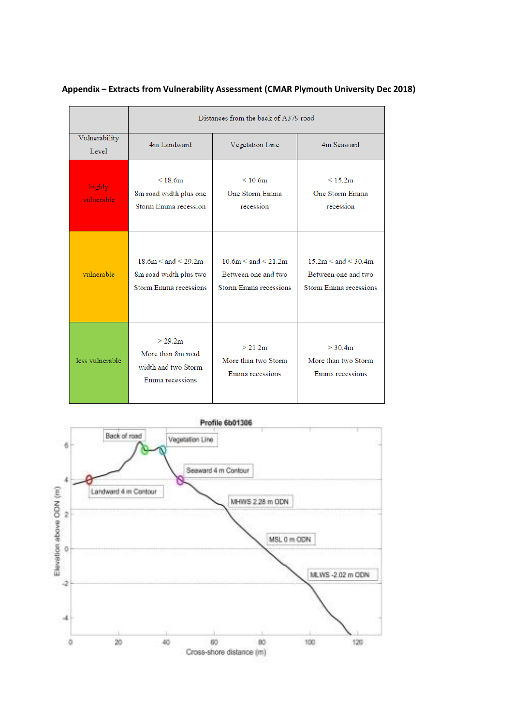|                        | Distances from the back of A379 road                                             |                                                                             |                                                                             |  |
|------------------------|----------------------------------------------------------------------------------|-----------------------------------------------------------------------------|-----------------------------------------------------------------------------|--|
| Vulnerability<br>Level | 4m Landward                                                                      | Vegetation Line                                                             | 4m Seaward                                                                  |  |
| highly<br>vulnerable   | < 18.6m<br>8m road width plus one<br>Storm Emma recession                        | $\leq 10.6$ m<br>One Storm Emma<br>recession                                | < 15.2m<br>One Storm Emma<br>recession                                      |  |
| vulnerable             | $18.6m \leq$ and $\leq 29.2m$<br>8m road width plus two<br>Storm Emma recessions | $10.6m \leq and \leq 21.2m$<br>Between one and two<br>Storm Emma recessions | $15.2m \leq and \leq 30.4m$<br>Between one and two<br>Storm Emma recessions |  |
| less vulnerable        | > 29.2m<br>More than 8m road<br>width and two Storm<br>Emma recessions           | > 21.2m<br>More than two Storm<br>Emma recessions                           | > 30.4m<br>More than two Storm<br>Emma recessions                           |  |

# **Appendix – Extracts from Vulnerability Assessment (CMAR Plymouth University Dec 2018)**

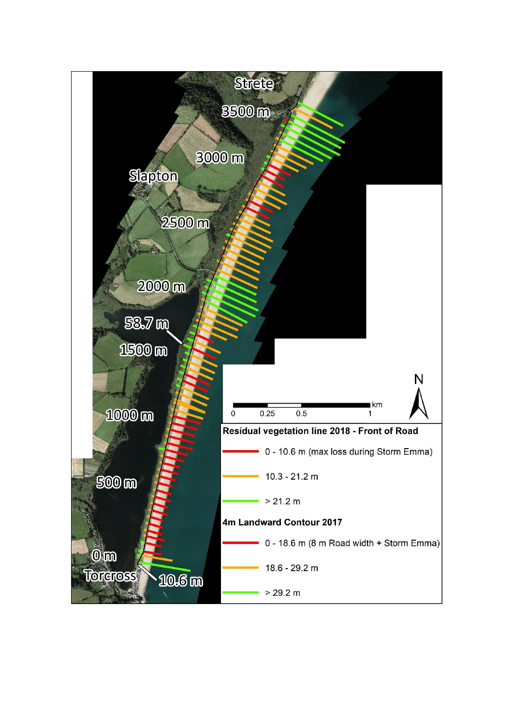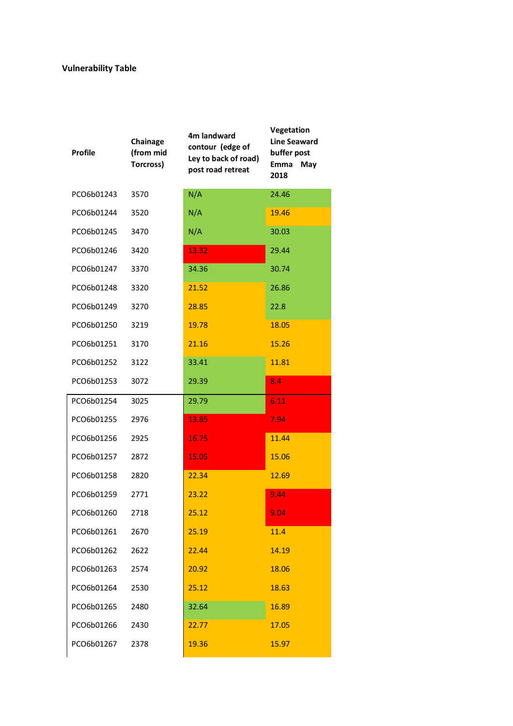# **Vulnerability Table**

| <b>Profile</b> | Chainage<br>(from mid<br>Torcross) | 4m landward<br>contour (edge of<br>Ley to back of road)<br>post road retreat | Vegetation<br><b>Line Seaward</b><br>buffer post<br>Emma<br>May<br>2018 |
|----------------|------------------------------------|------------------------------------------------------------------------------|-------------------------------------------------------------------------|
| PCO6b01243     | 3570                               | N/A                                                                          | 24.46                                                                   |
| PCO6b01244     | 3520                               | N/A                                                                          | 19.46                                                                   |
| PCO6b01245     | 3470                               | N/A                                                                          | 30.03                                                                   |
| PCO6b01246     | 3420                               | 13.32                                                                        | 29.44                                                                   |
| PCO6b01247     | 3370                               | 34.36                                                                        | 30.74                                                                   |
| PCO6b01248     | 3320                               | 21.52                                                                        | 26.86                                                                   |
| PCO6b01249     | 3270                               | 28.85                                                                        | 22.8                                                                    |
| PCO6b01250     | 3219                               | 19.78                                                                        | 18.05                                                                   |
| PCO6b01251     | 3170                               | 21.16                                                                        | 15.26                                                                   |
| PCO6b01252     | 3122                               | 33.41                                                                        | 11.81                                                                   |
| PCO6b01253     | 3072                               | 29.39                                                                        | 8.4                                                                     |
| PCO6b01254     | 3025                               | 29.79                                                                        | 6.11                                                                    |
| PCO6b01255     | 2976                               | 13.85                                                                        | 7.94                                                                    |
| PCO6b01256     | 2925                               | 16.75                                                                        | 11.44                                                                   |
| PCO6b01257     | 2872                               | 15.05                                                                        | 15.06                                                                   |
| PCO6b01258     | 2820                               | 22.34                                                                        | 12.69                                                                   |
| PCO6b01259     | 2771                               | 23.22                                                                        | 9.44                                                                    |
| PCO6b01260     | 2718                               | 25.12                                                                        | 9.04                                                                    |
| PCO6b01261     | 2670                               | 25.19                                                                        | 11.4                                                                    |
| PCO6b01262     | 2622                               | 22.44                                                                        | 14.19                                                                   |
| PCO6b01263     | 2574                               | 20.92                                                                        | 18.06                                                                   |
| PCO6b01264     | 2530                               | 25.12                                                                        | 18.63                                                                   |
| PCO6b01265     | 2480                               | 32.64                                                                        | 16.89                                                                   |
| PCO6b01266     | 2430                               | 22.77                                                                        | 17.05                                                                   |
| PCO6b01267     | 2378                               | 19.36                                                                        | 15.97                                                                   |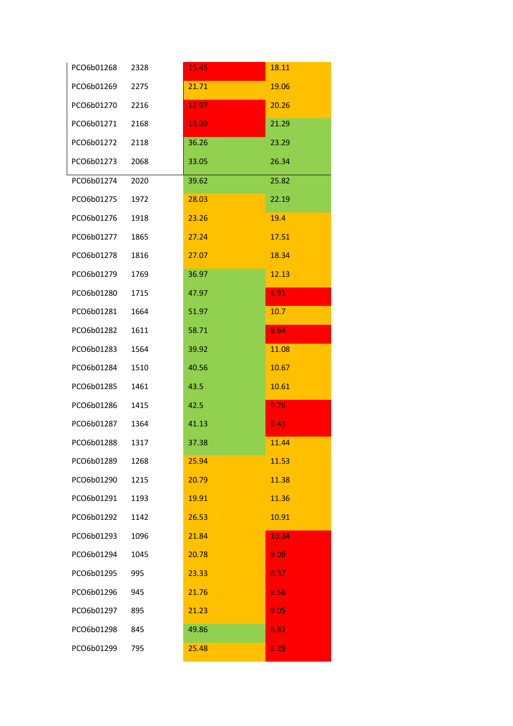| PCO6b01268 | 2328 | 15.45 | 18.11 |
|------------|------|-------|-------|
| PCO6b01269 | 2275 | 21.71 | 19.06 |
| PCO6b01270 | 2216 | 12.07 | 20.26 |
| PCO6b01271 | 2168 | 18.09 | 21.29 |
| PCO6b01272 | 2118 | 36.26 | 23.29 |
| PCO6b01273 | 2068 | 33.05 | 26.34 |
| PCO6b01274 | 2020 | 39.62 | 25.82 |
| PCO6b01275 | 1972 | 28.03 | 22.19 |
| PCO6b01276 | 1918 | 23.26 | 19.4  |
| PCO6b01277 | 1865 | 27.24 | 17.51 |
| PCO6b01278 | 1816 | 27.07 | 18.34 |
| PCO6b01279 | 1769 | 36.97 | 12.13 |
| PCO6b01280 | 1715 | 47.97 | 4.91  |
| PCO6b01281 | 1664 | 51.97 | 10.7  |
| PCO6b01282 | 1611 | 58.71 | 8.64  |
| PCO6b01283 | 1564 | 39.92 | 11.08 |
| PCO6b01284 | 1510 | 40.56 | 10.67 |
| PCO6b01285 | 1461 | 43.5  | 10.61 |
| PCO6b01286 | 1415 | 42.5  | 9.76  |
| PCO6b01287 | 1364 | 41.13 | 9.41  |
| PCO6b01288 | 1317 | 37.38 | 11.44 |
| PCO6b01289 | 1268 | 25.94 | 11.53 |
| PCO6b01290 | 1215 | 20.79 | 11.38 |
| PCO6b01291 | 1193 | 19.91 | 11.36 |
| PCO6b01292 | 1142 | 26.53 | 10.91 |
| PCO6b01293 | 1096 | 21.84 | 10.34 |
| PCO6b01294 | 1045 | 20.78 | 9.09  |
| PCO6b01295 | 995  | 23.33 | 8.37  |
| PCO6b01296 | 945  | 21.76 | 8.56  |
| PCO6b01297 | 895  | 21.23 | 9.05  |
| PCO6b01298 | 845  | 49.86 | 6.82  |
| PCO6b01299 | 795  | 25.48 | 5.29  |